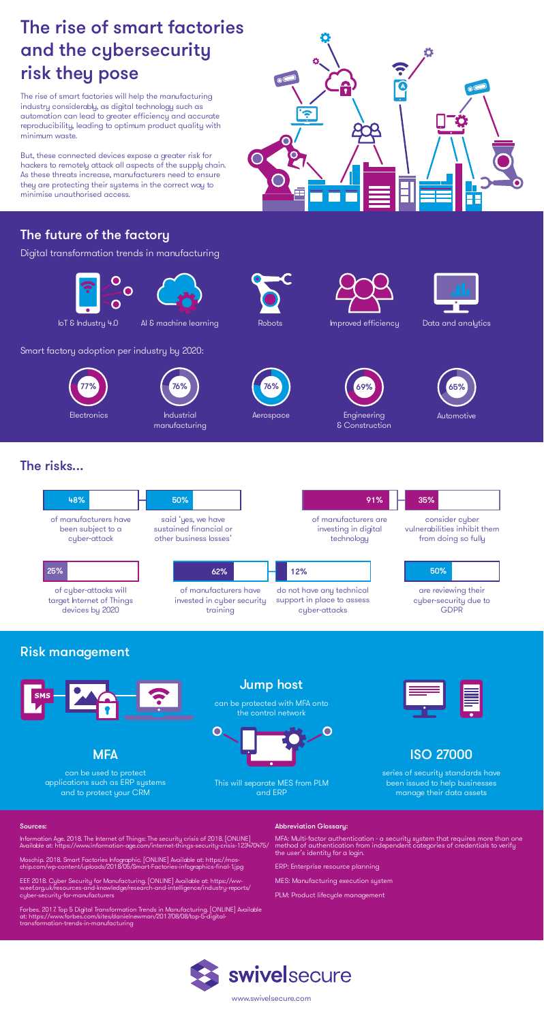# The rise of smart factories and the cybersecurity risk they pose

The rise of smart factories will help the manufacturing industry considerably, as digital technology such as automation can lead to greater efficiency and accurate reproducibility, leading to optimum product quality with minimum waste.

But, these connected devices expose a greater risk for hackers to remotely attack all aspects of the supply chain. As these threats increase, manufacturers need to ensure they are protecting their systems in the correct way to minimise unauthorised access.



# The future of the factory

Digital transformation trends in manufacturing





Smart factory adoption per industry by 2020:



Aerospace



Engineering & Construction







- IoT & Industry 4.0 AI & machine learning
- 







Robots **Improved efficiency** Data and analytics

# The risks...



Forbes. 2017. Top 5 Digital Transformation Trends in Manufacturing. [ONLINE] Available at: https://www.forbes.com/sites/danielnewman/2017/08/08/top-5-digitaltransformation-trends-in-manufacturing

www.swivelsecure.com

MFA: Multi-factor authentication - a security system that requires more than one method of authentication from independent categories of credentials to verify

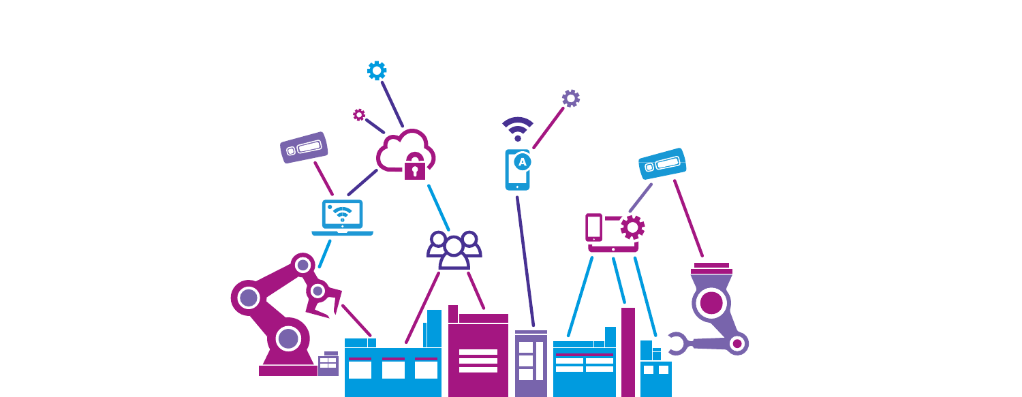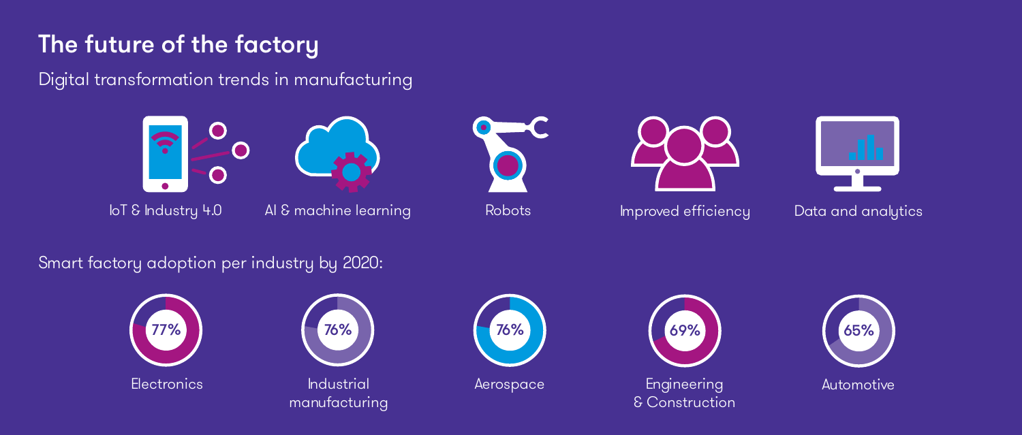# The future of the factory

Digital transformation trends in manufacturing



IoT & Industry 4.0 AI & machine learning





Robots **Improved efficiency** Data and analytics



#### Smart factory adoption per industry by 2020:



manufacturing



Aerospace



Engineering Electronics Industrial Automotive & Construction

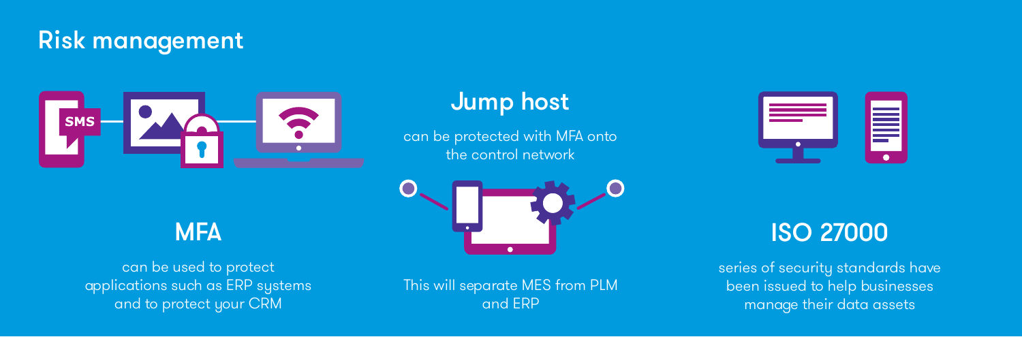### Risk management



### Jump host

can be protected with MFA onto the control network





can be used to protect applications such as ERP systems and to protect your CRM

This will separate MES from PLM and ERP

## ISO 27000

series of security standards have been issued to help businesses manage their data assets